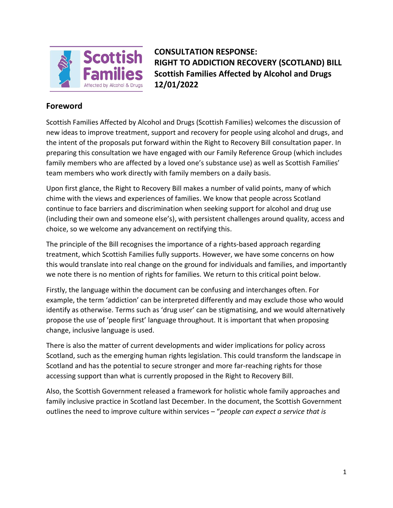

**CONSULTATION RESPONSE: RIGHT TO ADDICTION RECOVERY (SCOTLAND) BILL Scottish Families Affected by Alcohol and Drugs 12/01/2022** 

# **Foreword**

Scottish Families Affected by Alcohol and Drugs (Scottish Families) welcomes the discussion of new ideas to improve treatment, support and recovery for people using alcohol and drugs, and the intent of the proposals put forward within the Right to Recovery Bill consultation paper. In preparing this consultation we have engaged with our Family Reference Group (which includes family members who are affected by a loved one's substance use) as well as Scottish Families' team members who work directly with family members on a daily basis.

Upon first glance, the Right to Recovery Bill makes a number of valid points, many of which chime with the views and experiences of families. We know that people across Scotland continue to face barriers and discrimination when seeking support for alcohol and drug use (including their own and someone else's), with persistent challenges around quality, access and choice, so we welcome any advancement on rectifying this.

The principle of the Bill recognises the importance of a rights-based approach regarding treatment, which Scottish Families fully supports. However, we have some concerns on how this would translate into real change on the ground for individuals and families, and importantly we note there is no mention of rights for families. We return to this critical point below.

Firstly, the language within the document can be confusing and interchanges often. For example, the term 'addiction' can be interpreted differently and may exclude those who would identify as otherwise. Terms such as 'drug user' can be stigmatising, and we would alternatively propose the use of 'people first' language throughout. It is important that when proposing change, inclusive language is used.

There is also the matter of current developments and wider implications for policy across Scotland, such as the emerging human rights legislation. This could transform the landscape in Scotland and has the potential to secure stronger and more far-reaching rights for those accessing support than what is currently proposed in the Right to Recovery Bill.

Also, the Scottish Government released a framework for holistic whole family approaches and family inclusive practice in Scotland last December. In the document, the Scottish Government outlines the need to improve culture within services – "*people can expect a service that is*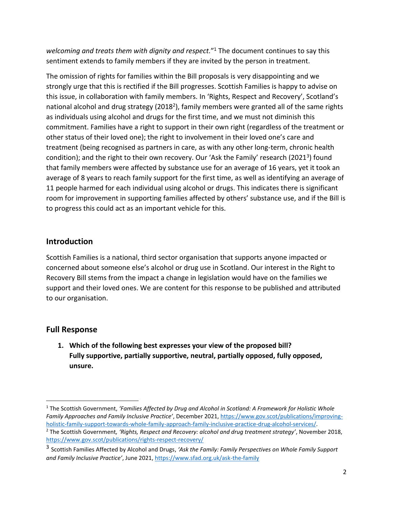*welcoming and treats them with dignity and respect.*" <sup>1</sup> The document continues to say this sentiment extends to family members if they are invited by the person in treatment.

The omission of rights for families within the Bill proposals is very disappointing and we strongly urge that this is rectified if the Bill progresses. Scottish Families is happy to advise on this issue, in collaboration with family members. In 'Rights, Respect and Recovery', Scotland's national alcohol and drug strategy (2018<sup>2</sup>), family members were granted all of the same rights as individuals using alcohol and drugs for the first time, and we must not diminish this commitment. Families have a right to support in their own right (regardless of the treatment or other status of their loved one); the right to involvement in their loved one's care and treatment (being recognised as partners in care, as with any other long-term, chronic health condition); and the right to their own recovery. Our 'Ask the Family' research (2021<sup>3</sup>) found that family members were affected by substance use for an average of 16 years, yet it took an average of 8 years to reach family support for the first time, as well as identifying an average of 11 people harmed for each individual using alcohol or drugs. This indicates there is significant room for improvement in supporting families affected by others' substance use, and if the Bill is to progress this could act as an important vehicle for this.

# **Introduction**

Scottish Families is a national, third sector organisation that supports anyone impacted or concerned about someone else's alcohol or drug use in Scotland. Our interest in the Right to Recovery Bill stems from the impact a change in legislation would have on the families we support and their loved ones. We are content for this response to be published and attributed to our organisation.

# **Full Response**

**1. Which of the following best expresses your view of the proposed bill? Fully supportive, partially supportive, neutral, partially opposed, fully opposed, unsure.** 

<sup>1</sup> The Scottish Government, *'Families Affected by Drug and Alcohol in Scotland: A Framework for Holistic Whole Family Approaches and Family Inclusive Practice'*, December 2021[, https://www.gov.scot/publications/improving](https://www.gov.scot/publications/improving-holistic-family-support-towards-whole-family-approach-family-inclusive-practice-drug-alcohol-services/)[holistic-family-support-towards-whole-family-approach-family-inclusive-practice-drug-alcohol-services/.](https://www.gov.scot/publications/improving-holistic-family-support-towards-whole-family-approach-family-inclusive-practice-drug-alcohol-services/)

<sup>2</sup> The Scottish Government*, 'Rights, Respect and Recovery: alcohol and drug treatment strategy'*, November 2018, <https://www.gov.scot/publications/rights-respect-recovery/>

<sup>3</sup> Scottish Families Affected by Alcohol and Drugs, *'Ask the Family: Family Perspectives on Whole Family Support and Family Inclusive Practice'*, June 2021[, https://www.sfad.org.uk/ask-the-family](https://www.sfad.org.uk/ask-the-family)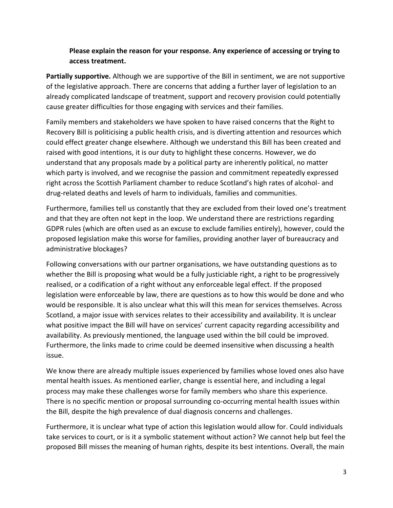### **Please explain the reason for your response. Any experience of accessing or trying to access treatment.**

**Partially supportive.** Although we are supportive of the Bill in sentiment, we are not supportive of the legislative approach. There are concerns that adding a further layer of legislation to an already complicated landscape of treatment, support and recovery provision could potentially cause greater difficulties for those engaging with services and their families.

Family members and stakeholders we have spoken to have raised concerns that the Right to Recovery Bill is politicising a public health crisis, and is diverting attention and resources which could effect greater change elsewhere. Although we understand this Bill has been created and raised with good intentions, it is our duty to highlight these concerns. However, we do understand that any proposals made by a political party are inherently political, no matter which party is involved, and we recognise the passion and commitment repeatedly expressed right across the Scottish Parliament chamber to reduce Scotland's high rates of alcohol- and drug-related deaths and levels of harm to individuals, families and communities.

Furthermore, families tell us constantly that they are excluded from their loved one's treatment and that they are often not kept in the loop. We understand there are restrictions regarding GDPR rules (which are often used as an excuse to exclude families entirely), however, could the proposed legislation make this worse for families, providing another layer of bureaucracy and administrative blockages?

Following conversations with our partner organisations, we have outstanding questions as to whether the Bill is proposing what would be a fully justiciable right, a right to be progressively realised, or a codification of a right without any enforceable legal effect. If the proposed legislation were enforceable by law, there are questions as to how this would be done and who would be responsible. It is also unclear what this will this mean for services themselves. Across Scotland, a major issue with services relates to their accessibility and availability. It is unclear what positive impact the Bill will have on services' current capacity regarding accessibility and availability. As previously mentioned, the language used within the bill could be improved. Furthermore, the links made to crime could be deemed insensitive when discussing a health issue.

We know there are already multiple issues experienced by families whose loved ones also have mental health issues. As mentioned earlier, change is essential here, and including a legal process may make these challenges worse for family members who share this experience. There is no specific mention or proposal surrounding co-occurring mental health issues within the Bill, despite the high prevalence of dual diagnosis concerns and challenges.

Furthermore, it is unclear what type of action this legislation would allow for. Could individuals take services to court, or is it a symbolic statement without action? We cannot help but feel the proposed Bill misses the meaning of human rights, despite its best intentions. Overall, the main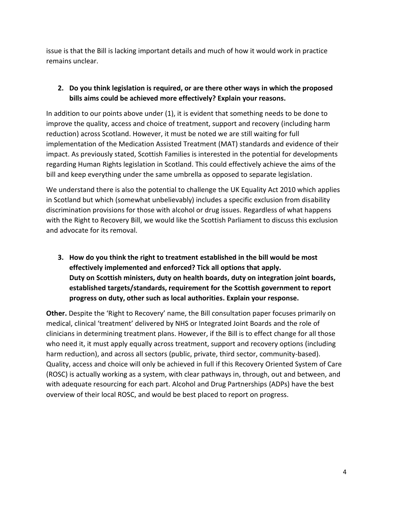issue is that the Bill is lacking important details and much of how it would work in practice remains unclear.

### **2. Do you think legislation is required, or are there other ways in which the proposed bills aims could be achieved more effectively? Explain your reasons.**

In addition to our points above under (1), it is evident that something needs to be done to improve the quality, access and choice of treatment, support and recovery (including harm reduction) across Scotland. However, it must be noted we are still waiting for full implementation of the Medication Assisted Treatment (MAT) standards and evidence of their impact. As previously stated, Scottish Families is interested in the potential for developments regarding Human Rights legislation in Scotland. This could effectively achieve the aims of the bill and keep everything under the same umbrella as opposed to separate legislation.

We understand there is also the potential to challenge the UK Equality Act 2010 which applies in Scotland but which (somewhat unbelievably) includes a specific exclusion from disability discrimination provisions for those with alcohol or drug issues. Regardless of what happens with the Right to Recovery Bill, we would like the Scottish Parliament to discuss this exclusion and advocate for its removal.

**3. How do you think the right to treatment established in the bill would be most effectively implemented and enforced? Tick all options that apply. Duty on Scottish ministers, duty on health boards, duty on integration joint boards, established targets/standards, requirement for the Scottish government to report progress on duty, other such as local authorities. Explain your response.**

**Other.** Despite the 'Right to Recovery' name, the Bill consultation paper focuses primarily on medical, clinical 'treatment' delivered by NHS or Integrated Joint Boards and the role of clinicians in determining treatment plans. However, if the Bill is to effect change for all those who need it, it must apply equally across treatment, support and recovery options (including harm reduction), and across all sectors (public, private, third sector, community-based). Quality, access and choice will only be achieved in full if this Recovery Oriented System of Care (ROSC) is actually working as a system, with clear pathways in, through, out and between, and with adequate resourcing for each part. Alcohol and Drug Partnerships (ADPs) have the best overview of their local ROSC, and would be best placed to report on progress.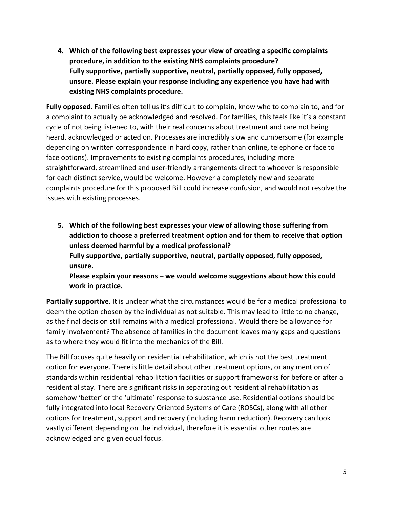**4. Which of the following best expresses your view of creating a specific complaints procedure, in addition to the existing NHS complaints procedure? Fully supportive, partially supportive, neutral, partially opposed, fully opposed, unsure. Please explain your response including any experience you have had with existing NHS complaints procedure.** 

**Fully opposed**. Families often tell us it's difficult to complain, know who to complain to, and for a complaint to actually be acknowledged and resolved. For families, this feels like it's a constant cycle of not being listened to, with their real concerns about treatment and care not being heard, acknowledged or acted on. Processes are incredibly slow and cumbersome (for example depending on written correspondence in hard copy, rather than online, telephone or face to face options). Improvements to existing complaints procedures, including more straightforward, streamlined and user-friendly arrangements direct to whoever is responsible for each distinct service, would be welcome. However a completely new and separate complaints procedure for this proposed Bill could increase confusion, and would not resolve the issues with existing processes.

**5. Which of the following best expresses your view of allowing those suffering from addiction to choose a preferred treatment option and for them to receive that option unless deemed harmful by a medical professional? Fully supportive, partially supportive, neutral, partially opposed, fully opposed, unsure. Please explain your reasons – we would welcome suggestions about how this could** 

**work in practice.** 

**Partially supportive**. It is unclear what the circumstances would be for a medical professional to deem the option chosen by the individual as not suitable. This may lead to little to no change, as the final decision still remains with a medical professional. Would there be allowance for family involvement? The absence of families in the document leaves many gaps and questions as to where they would fit into the mechanics of the Bill.

The Bill focuses quite heavily on residential rehabilitation, which is not the best treatment option for everyone. There is little detail about other treatment options, or any mention of standards within residential rehabilitation facilities or support frameworks for before or after a residential stay. There are significant risks in separating out residential rehabilitation as somehow 'better' or the 'ultimate' response to substance use. Residential options should be fully integrated into local Recovery Oriented Systems of Care (ROSCs), along with all other options for treatment, support and recovery (including harm reduction). Recovery can look vastly different depending on the individual, therefore it is essential other routes are acknowledged and given equal focus.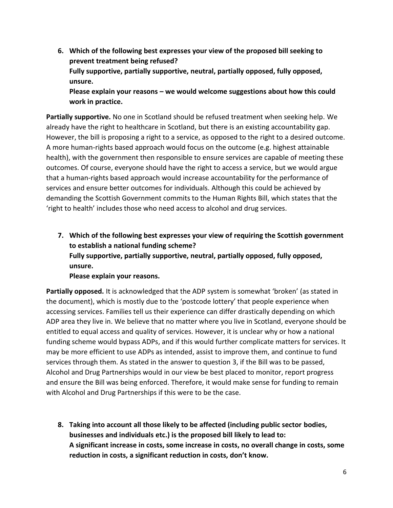**6. Which of the following best expresses your view of the proposed bill seeking to prevent treatment being refused? Fully supportive, partially supportive, neutral, partially opposed, fully opposed, unsure. Please explain your reasons – we would welcome suggestions about how this could work in practice.**

**Partially supportive.** No one in Scotland should be refused treatment when seeking help. We already have the right to healthcare in Scotland, but there is an existing accountability gap. However, the bill is proposing a right to a service, as opposed to the right to a desired outcome. A more human-rights based approach would focus on the outcome (e.g. highest attainable health), with the government then responsible to ensure services are capable of meeting these outcomes. Of course, everyone should have the right to access a service, but we would argue that a human-rights based approach would increase accountability for the performance of services and ensure better outcomes for individuals. Although this could be achieved by demanding the Scottish Government commits to the Human Rights Bill, which states that the 'right to health' includes those who need access to alcohol and drug services.

**7. Which of the following best expresses your view of requiring the Scottish government to establish a national funding scheme? Fully supportive, partially supportive, neutral, partially opposed, fully opposed, unsure.**

#### **Please explain your reasons.**

**Partially opposed.** It is acknowledged that the ADP system is somewhat 'broken' (as stated in the document), which is mostly due to the 'postcode lottery' that people experience when accessing services. Families tell us their experience can differ drastically depending on which ADP area they live in. We believe that no matter where you live in Scotland, everyone should be entitled to equal access and quality of services. However, it is unclear why or how a national funding scheme would bypass ADPs, and if this would further complicate matters for services. It may be more efficient to use ADPs as intended, assist to improve them, and continue to fund services through them. As stated in the answer to question 3, if the Bill was to be passed, Alcohol and Drug Partnerships would in our view be best placed to monitor, report progress and ensure the Bill was being enforced. Therefore, it would make sense for funding to remain with Alcohol and Drug Partnerships if this were to be the case.

**8. Taking into account all those likely to be affected (including public sector bodies, businesses and individuals etc.) is the proposed bill likely to lead to: A significant increase in costs, some increase in costs, no overall change in costs, some reduction in costs, a significant reduction in costs, don't know.**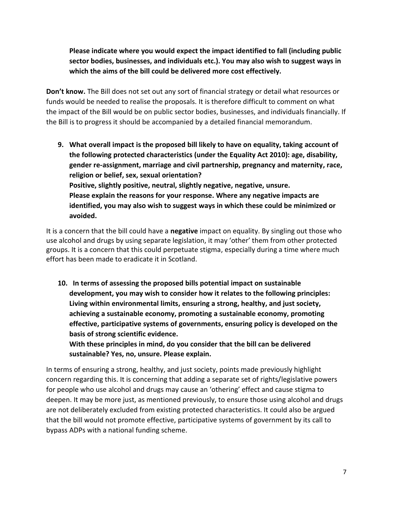**Please indicate where you would expect the impact identified to fall (including public sector bodies, businesses, and individuals etc.). You may also wish to suggest ways in which the aims of the bill could be delivered more cost effectively.** 

**Don't know.** The Bill does not set out any sort of financial strategy or detail what resources or funds would be needed to realise the proposals. It is therefore difficult to comment on what the impact of the Bill would be on public sector bodies, businesses, and individuals financially. If the Bill is to progress it should be accompanied by a detailed financial memorandum.

**9. What overall impact is the proposed bill likely to have on equality, taking account of the following protected characteristics (under the Equality Act 2010): age, disability, gender re-assignment, marriage and civil partnership, pregnancy and maternity, race, religion or belief, sex, sexual orientation? Positive, slightly positive, neutral, slightly negative, negative, unsure. Please explain the reasons for your response. Where any negative impacts are identified, you may also wish to suggest ways in which these could be minimized or avoided.** 

It is a concern that the bill could have a **negative** impact on equality. By singling out those who use alcohol and drugs by using separate legislation, it may 'other' them from other protected groups. It is a concern that this could perpetuate stigma, especially during a time where much effort has been made to eradicate it in Scotland.

**10. In terms of assessing the proposed bills potential impact on sustainable development, you may wish to consider how it relates to the following principles: Living within environmental limits, ensuring a strong, healthy, and just society, achieving a sustainable economy, promoting a sustainable economy, promoting effective, participative systems of governments, ensuring policy is developed on the basis of strong scientific evidence.** 

**With these principles in mind, do you consider that the bill can be delivered sustainable? Yes, no, unsure. Please explain.** 

In terms of ensuring a strong, healthy, and just society, points made previously highlight concern regarding this. It is concerning that adding a separate set of rights/legislative powers for people who use alcohol and drugs may cause an 'othering' effect and cause stigma to deepen. It may be more just, as mentioned previously, to ensure those using alcohol and drugs are not deliberately excluded from existing protected characteristics. It could also be argued that the bill would not promote effective, participative systems of government by its call to bypass ADPs with a national funding scheme.